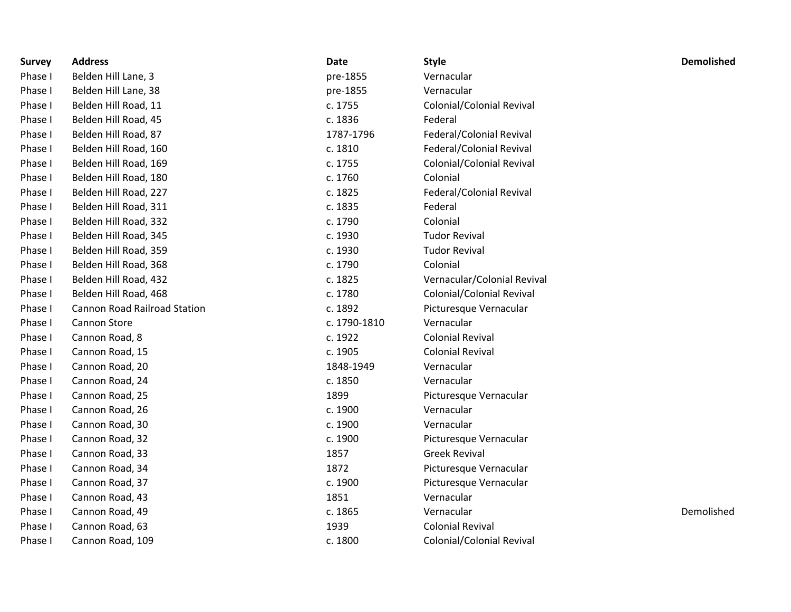| <b>Survey</b> | <b>Address</b>                      | <b>Date</b>  | <b>Style</b>                | <b>Demolished</b> |
|---------------|-------------------------------------|--------------|-----------------------------|-------------------|
| Phase I       | Belden Hill Lane, 3                 | pre-1855     | Vernacular                  |                   |
| Phase I       | Belden Hill Lane, 38                | pre-1855     | Vernacular                  |                   |
| Phase I       | Belden Hill Road, 11                | c. 1755      | Colonial/Colonial Revival   |                   |
| Phase I       | Belden Hill Road, 45                | c. 1836      | Federal                     |                   |
| Phase I       | Belden Hill Road, 87                | 1787-1796    | Federal/Colonial Revival    |                   |
| Phase I       | Belden Hill Road, 160               | c. 1810      | Federal/Colonial Revival    |                   |
| Phase I       | Belden Hill Road, 169               | c. 1755      | Colonial/Colonial Revival   |                   |
| Phase I       | Belden Hill Road, 180               | c. 1760      | Colonial                    |                   |
| Phase I       | Belden Hill Road, 227               | c. 1825      | Federal/Colonial Revival    |                   |
| Phase I       | Belden Hill Road, 311               | c. 1835      | Federal                     |                   |
| Phase I       | Belden Hill Road, 332               | c. 1790      | Colonial                    |                   |
| Phase I       | Belden Hill Road, 345               | c. 1930      | <b>Tudor Revival</b>        |                   |
| Phase I       | Belden Hill Road, 359               | c. 1930      | <b>Tudor Revival</b>        |                   |
| Phase I       | Belden Hill Road, 368               | c. 1790      | Colonial                    |                   |
| Phase I       | Belden Hill Road, 432               | c. 1825      | Vernacular/Colonial Revival |                   |
| Phase I       | Belden Hill Road, 468               | c. 1780      | Colonial/Colonial Revival   |                   |
| Phase I       | <b>Cannon Road Railroad Station</b> | c. 1892      | Picturesque Vernacular      |                   |
| Phase I       | Cannon Store                        | c. 1790-1810 | Vernacular                  |                   |
| Phase I       | Cannon Road, 8                      | c. 1922      | <b>Colonial Revival</b>     |                   |
| Phase I       | Cannon Road, 15                     | c. 1905      | <b>Colonial Revival</b>     |                   |
| Phase I       | Cannon Road, 20                     | 1848-1949    | Vernacular                  |                   |
| Phase I       | Cannon Road, 24                     | c. 1850      | Vernacular                  |                   |
| Phase I       | Cannon Road, 25                     | 1899         | Picturesque Vernacular      |                   |
| Phase I       | Cannon Road, 26                     | c. 1900      | Vernacular                  |                   |
| Phase I       | Cannon Road, 30                     | c. 1900      | Vernacular                  |                   |
| Phase I       | Cannon Road, 32                     | c. 1900      | Picturesque Vernacular      |                   |
| Phase I       | Cannon Road, 33                     | 1857         | <b>Greek Revival</b>        |                   |
| Phase I       | Cannon Road, 34                     | 1872         | Picturesque Vernacular      |                   |
| Phase I       | Cannon Road, 37                     | c. 1900      | Picturesque Vernacular      |                   |
| Phase I       | Cannon Road, 43                     | 1851         | Vernacular                  |                   |
| Phase I       | Cannon Road, 49                     | c. 1865      | Vernacular                  | Demolished        |
| Phase I       | Cannon Road, 63                     | 1939         | <b>Colonial Revival</b>     |                   |
| Phase I       | Cannon Road, 109                    | c. 1800      | Colonial/Colonial Revival   |                   |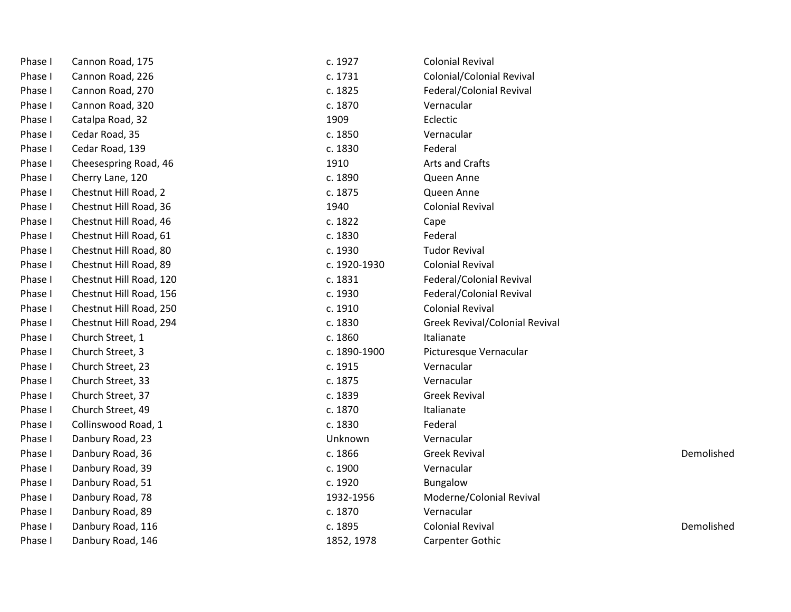| Phase I | Cannon Road, 175        | c. 1927      | <b>Colonial Revival</b>               |            |
|---------|-------------------------|--------------|---------------------------------------|------------|
| Phase I | Cannon Road, 226        | c. 1731      | Colonial/Colonial Revival             |            |
| Phase I | Cannon Road, 270        | c. 1825      | Federal/Colonial Revival              |            |
| Phase I | Cannon Road, 320        | c. 1870      | Vernacular                            |            |
| Phase I | Catalpa Road, 32        | 1909         | Eclectic                              |            |
| Phase I | Cedar Road, 35          | c. 1850      | Vernacular                            |            |
| Phase I | Cedar Road, 139         | c. 1830      | Federal                               |            |
| Phase I | Cheesespring Road, 46   | 1910         | Arts and Crafts                       |            |
| Phase I | Cherry Lane, 120        | c. 1890      | Queen Anne                            |            |
| Phase I | Chestnut Hill Road, 2   | c. 1875      | Queen Anne                            |            |
| Phase I | Chestnut Hill Road, 36  | 1940         | <b>Colonial Revival</b>               |            |
| Phase I | Chestnut Hill Road, 46  | c. 1822      | Cape                                  |            |
| Phase I | Chestnut Hill Road, 61  | c. 1830      | Federal                               |            |
| Phase I | Chestnut Hill Road, 80  | c. 1930      | <b>Tudor Revival</b>                  |            |
| Phase I | Chestnut Hill Road, 89  | c. 1920-1930 | <b>Colonial Revival</b>               |            |
| Phase I | Chestnut Hill Road, 120 | c. 1831      | Federal/Colonial Revival              |            |
| Phase I | Chestnut Hill Road, 156 | c. 1930      | Federal/Colonial Revival              |            |
| Phase I | Chestnut Hill Road, 250 | c. 1910      | <b>Colonial Revival</b>               |            |
| Phase I | Chestnut Hill Road, 294 | c. 1830      | <b>Greek Revival/Colonial Revival</b> |            |
| Phase I | Church Street, 1        | c. 1860      | Italianate                            |            |
| Phase I | Church Street, 3        | c. 1890-1900 | Picturesque Vernacular                |            |
| Phase I | Church Street, 23       | c. 1915      | Vernacular                            |            |
| Phase I | Church Street, 33       | c. 1875      | Vernacular                            |            |
| Phase I | Church Street, 37       | c. 1839      | <b>Greek Revival</b>                  |            |
| Phase I | Church Street, 49       | c. 1870      | Italianate                            |            |
| Phase I | Collinswood Road, 1     | c. 1830      | Federal                               |            |
| Phase I | Danbury Road, 23        | Unknown      | Vernacular                            |            |
| Phase I | Danbury Road, 36        | c. 1866      | <b>Greek Revival</b>                  | Demolished |
| Phase I | Danbury Road, 39        | c. 1900      | Vernacular                            |            |
| Phase I | Danbury Road, 51        | c. 1920      | <b>Bungalow</b>                       |            |
| Phase I | Danbury Road, 78        | 1932-1956    | Moderne/Colonial Revival              |            |
| Phase I | Danbury Road, 89        | c. 1870      | Vernacular                            |            |
| Phase I | Danbury Road, 116       | c. 1895      | <b>Colonial Revival</b>               | Demolished |
| Phase I | Danbury Road, 146       | 1852, 1978   | <b>Carpenter Gothic</b>               |            |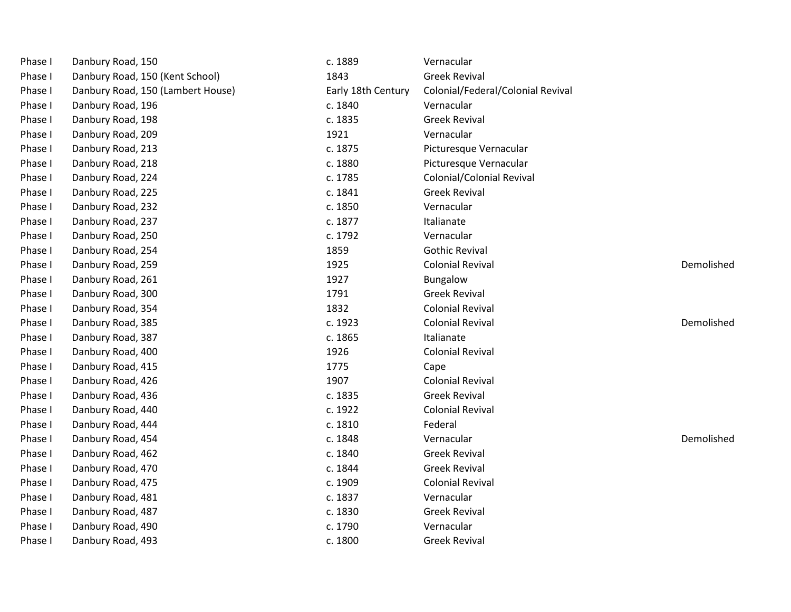| Phase I | Danbury Road, 150                 | c. 1889            | Vernacular                        |            |
|---------|-----------------------------------|--------------------|-----------------------------------|------------|
| Phase I | Danbury Road, 150 (Kent School)   | 1843               | <b>Greek Revival</b>              |            |
| Phase I | Danbury Road, 150 (Lambert House) | Early 18th Century | Colonial/Federal/Colonial Revival |            |
| Phase I | Danbury Road, 196                 | c. 1840            | Vernacular                        |            |
| Phase I | Danbury Road, 198                 | c. 1835            | <b>Greek Revival</b>              |            |
| Phase I | Danbury Road, 209                 | 1921               | Vernacular                        |            |
| Phase I | Danbury Road, 213                 | c. 1875            | Picturesque Vernacular            |            |
| Phase I | Danbury Road, 218                 | c. 1880            | Picturesque Vernacular            |            |
| Phase I | Danbury Road, 224                 | c. 1785            | Colonial/Colonial Revival         |            |
| Phase I | Danbury Road, 225                 | c. 1841            | <b>Greek Revival</b>              |            |
| Phase I | Danbury Road, 232                 | c. 1850            | Vernacular                        |            |
| Phase I | Danbury Road, 237                 | c. 1877            | Italianate                        |            |
| Phase I | Danbury Road, 250                 | c. 1792            | Vernacular                        |            |
| Phase I | Danbury Road, 254                 | 1859               | <b>Gothic Revival</b>             |            |
| Phase I | Danbury Road, 259                 | 1925               | <b>Colonial Revival</b>           | Demolished |
| Phase I | Danbury Road, 261                 | 1927               | Bungalow                          |            |
| Phase I | Danbury Road, 300                 | 1791               | <b>Greek Revival</b>              |            |
| Phase I | Danbury Road, 354                 | 1832               | <b>Colonial Revival</b>           |            |
| Phase I | Danbury Road, 385                 | c. 1923            | <b>Colonial Revival</b>           | Demolished |
| Phase I | Danbury Road, 387                 | c. 1865            | Italianate                        |            |
| Phase I | Danbury Road, 400                 | 1926               | <b>Colonial Revival</b>           |            |
| Phase I | Danbury Road, 415                 | 1775               | Cape                              |            |
| Phase I | Danbury Road, 426                 | 1907               | <b>Colonial Revival</b>           |            |
| Phase I | Danbury Road, 436                 | c. 1835            | <b>Greek Revival</b>              |            |
| Phase I | Danbury Road, 440                 | c. 1922            | <b>Colonial Revival</b>           |            |
| Phase I | Danbury Road, 444                 | c. 1810            | Federal                           |            |
| Phase I | Danbury Road, 454                 | c. 1848            | Vernacular                        | Demolished |
| Phase I | Danbury Road, 462                 | c. 1840            | <b>Greek Revival</b>              |            |
| Phase I | Danbury Road, 470                 | c. 1844            | <b>Greek Revival</b>              |            |
| Phase I | Danbury Road, 475                 | c. 1909            | <b>Colonial Revival</b>           |            |
| Phase I | Danbury Road, 481                 | c. 1837            | Vernacular                        |            |
| Phase I | Danbury Road, 487                 | c. 1830            | <b>Greek Revival</b>              |            |
| Phase I | Danbury Road, 490                 | c. 1790            | Vernacular                        |            |
| Phase I | Danbury Road, 493                 | c. 1800            | <b>Greek Revival</b>              |            |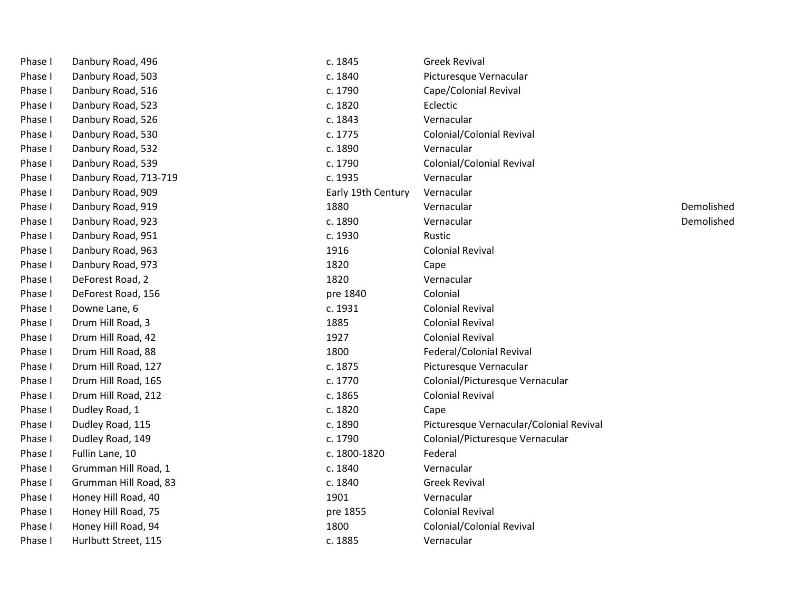| Phase I | Danbury Road, 496     | c. 1845            | <b>Greek Revival</b>                    |            |
|---------|-----------------------|--------------------|-----------------------------------------|------------|
| Phase I | Danbury Road, 503     | c. 1840            | Picturesque Vernacular                  |            |
| Phase I | Danbury Road, 516     | c. 1790            | Cape/Colonial Revival                   |            |
| Phase I | Danbury Road, 523     | c. 1820            | Eclectic                                |            |
| Phase I | Danbury Road, 526     | c. 1843            | Vernacular                              |            |
| Phase I | Danbury Road, 530     | c. 1775            | Colonial/Colonial Revival               |            |
| Phase I | Danbury Road, 532     | c. 1890            | Vernacular                              |            |
| Phase I | Danbury Road, 539     | c. 1790            | Colonial/Colonial Revival               |            |
| Phase I | Danbury Road, 713-719 | c. 1935            | Vernacular                              |            |
| Phase I | Danbury Road, 909     | Early 19th Century | Vernacular                              |            |
| Phase I | Danbury Road, 919     | 1880               | Vernacular                              | Demolished |
| Phase I | Danbury Road, 923     | c. 1890            | Vernacular                              | Demolished |
| Phase I | Danbury Road, 951     | c. 1930            | Rustic                                  |            |
| Phase I | Danbury Road, 963     | 1916               | <b>Colonial Revival</b>                 |            |
| Phase I | Danbury Road, 973     | 1820               | Cape                                    |            |
| Phase I | DeForest Road, 2      | 1820               | Vernacular                              |            |
| Phase I | DeForest Road, 156    | pre 1840           | Colonial                                |            |
| Phase I | Downe Lane, 6         | c. 1931            | <b>Colonial Revival</b>                 |            |
| Phase I | Drum Hill Road, 3     | 1885               | <b>Colonial Revival</b>                 |            |
| Phase I | Drum Hill Road, 42    | 1927               | <b>Colonial Revival</b>                 |            |
| Phase I | Drum Hill Road, 88    | 1800               | Federal/Colonial Revival                |            |
| Phase I | Drum Hill Road, 127   | c. 1875            | Picturesque Vernacular                  |            |
| Phase I | Drum Hill Road, 165   | c. 1770            | Colonial/Picturesque Vernacular         |            |
| Phase I | Drum Hill Road, 212   | c. 1865            | <b>Colonial Revival</b>                 |            |
| Phase I | Dudley Road, 1        | c. 1820            | Cape                                    |            |
| Phase I | Dudley Road, 115      | c. 1890            | Picturesque Vernacular/Colonial Revival |            |
| Phase I | Dudley Road, 149      | c. 1790            | Colonial/Picturesque Vernacular         |            |
| Phase I | Fullin Lane, 10       | c. 1800-1820       | Federal                                 |            |
| Phase I | Grumman Hill Road, 1  | c. 1840            | Vernacular                              |            |
| Phase I | Grumman Hill Road, 83 | c. 1840            | <b>Greek Revival</b>                    |            |
| Phase I | Honey Hill Road, 40   | 1901               | Vernacular                              |            |
| Phase I | Honey Hill Road, 75   | pre 1855           | <b>Colonial Revival</b>                 |            |
| Phase I | Honey Hill Road, 94   | 1800               | Colonial/Colonial Revival               |            |
| Phase I | Hurlbutt Street, 115  | c. 1885            | Vernacular                              |            |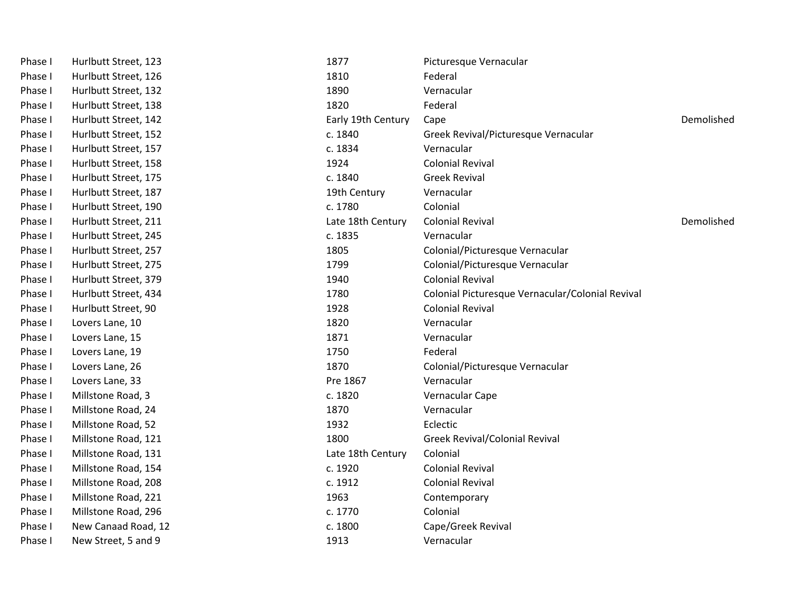| Phase I | Hurlbutt Street, 123 | 1877               | Picturesque Vernacular                           |            |
|---------|----------------------|--------------------|--------------------------------------------------|------------|
| Phase I | Hurlbutt Street, 126 | 1810               | Federal                                          |            |
| Phase I | Hurlbutt Street, 132 | 1890               | Vernacular                                       |            |
| Phase I | Hurlbutt Street, 138 | 1820               | Federal                                          |            |
| Phase I | Hurlbutt Street, 142 | Early 19th Century | Cape                                             | Demolished |
| Phase I | Hurlbutt Street, 152 | c. 1840            | Greek Revival/Picturesque Vernacular             |            |
| Phase I | Hurlbutt Street, 157 | c. 1834            | Vernacular                                       |            |
| Phase I | Hurlbutt Street, 158 | 1924               | <b>Colonial Revival</b>                          |            |
| Phase I | Hurlbutt Street, 175 | c. 1840            | <b>Greek Revival</b>                             |            |
| Phase I | Hurlbutt Street, 187 | 19th Century       | Vernacular                                       |            |
| Phase I | Hurlbutt Street, 190 | c. 1780            | Colonial                                         |            |
| Phase I | Hurlbutt Street, 211 | Late 18th Century  | <b>Colonial Revival</b>                          | Demolished |
| Phase I | Hurlbutt Street, 245 | c. 1835            | Vernacular                                       |            |
| Phase I | Hurlbutt Street, 257 | 1805               | Colonial/Picturesque Vernacular                  |            |
| Phase I | Hurlbutt Street, 275 | 1799               | Colonial/Picturesque Vernacular                  |            |
| Phase I | Hurlbutt Street, 379 | 1940               | <b>Colonial Revival</b>                          |            |
| Phase I | Hurlbutt Street, 434 | 1780               | Colonial Picturesque Vernacular/Colonial Revival |            |
| Phase I | Hurlbutt Street, 90  | 1928               | <b>Colonial Revival</b>                          |            |
| Phase I | Lovers Lane, 10      | 1820               | Vernacular                                       |            |
| Phase I | Lovers Lane, 15      | 1871               | Vernacular                                       |            |
| Phase I | Lovers Lane, 19      | 1750               | Federal                                          |            |
| Phase I | Lovers Lane, 26      | 1870               | Colonial/Picturesque Vernacular                  |            |
| Phase I | Lovers Lane, 33      | Pre 1867           | Vernacular                                       |            |
| Phase I | Millstone Road, 3    | c. 1820            | Vernacular Cape                                  |            |
| Phase I | Millstone Road, 24   | 1870               | Vernacular                                       |            |
| Phase I | Millstone Road, 52   | 1932               | Eclectic                                         |            |
| Phase I | Millstone Road, 121  | 1800               | <b>Greek Revival/Colonial Revival</b>            |            |
| Phase I | Millstone Road, 131  | Late 18th Century  | Colonial                                         |            |
| Phase I | Millstone Road, 154  | c. 1920            | <b>Colonial Revival</b>                          |            |
| Phase I | Millstone Road, 208  | c. 1912            | <b>Colonial Revival</b>                          |            |
| Phase I | Millstone Road, 221  | 1963               | Contemporary                                     |            |
| Phase I | Millstone Road, 296  | c. 1770            | Colonial                                         |            |
| Phase I | New Canaad Road, 12  | c. 1800            | Cape/Greek Revival                               |            |
| Phase I | New Street, 5 and 9  | 1913               | Vernacular                                       |            |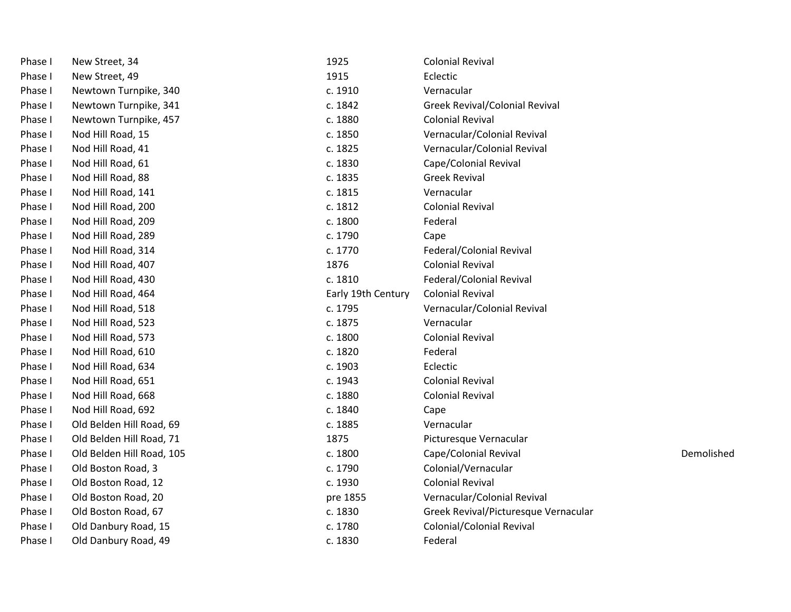| Phase I | New Street, 34            | 1925               | <b>Colonial Revival</b>               |            |
|---------|---------------------------|--------------------|---------------------------------------|------------|
| Phase I | New Street, 49            | 1915               | Eclectic                              |            |
| Phase I | Newtown Turnpike, 340     | c. 1910            | Vernacular                            |            |
| Phase I | Newtown Turnpike, 341     | c. 1842            | <b>Greek Revival/Colonial Revival</b> |            |
| Phase I | Newtown Turnpike, 457     | c. 1880            | <b>Colonial Revival</b>               |            |
| Phase I | Nod Hill Road, 15         | c. 1850            | Vernacular/Colonial Revival           |            |
| Phase I | Nod Hill Road, 41         | c. 1825            | Vernacular/Colonial Revival           |            |
| Phase I | Nod Hill Road, 61         | c. 1830            | Cape/Colonial Revival                 |            |
| Phase I | Nod Hill Road, 88         | c. 1835            | <b>Greek Revival</b>                  |            |
| Phase I | Nod Hill Road, 141        | c. 1815            | Vernacular                            |            |
| Phase I | Nod Hill Road, 200        | c. 1812            | <b>Colonial Revival</b>               |            |
| Phase I | Nod Hill Road, 209        | c. 1800            | Federal                               |            |
| Phase I | Nod Hill Road, 289        | c. 1790            | Cape                                  |            |
| Phase I | Nod Hill Road, 314        | c. 1770            | Federal/Colonial Revival              |            |
| Phase I | Nod Hill Road, 407        | 1876               | <b>Colonial Revival</b>               |            |
| Phase I | Nod Hill Road, 430        | c. 1810            | Federal/Colonial Revival              |            |
| Phase I | Nod Hill Road, 464        | Early 19th Century | <b>Colonial Revival</b>               |            |
| Phase I | Nod Hill Road, 518        | c. 1795            | Vernacular/Colonial Revival           |            |
| Phase I | Nod Hill Road, 523        | c. 1875            | Vernacular                            |            |
| Phase I | Nod Hill Road, 573        | c. 1800            | <b>Colonial Revival</b>               |            |
| Phase I | Nod Hill Road, 610        | c. 1820            | Federal                               |            |
| Phase I | Nod Hill Road, 634        | c. 1903            | Eclectic                              |            |
| Phase I | Nod Hill Road, 651        | c. 1943            | <b>Colonial Revival</b>               |            |
| Phase I | Nod Hill Road, 668        | c. 1880            | <b>Colonial Revival</b>               |            |
| Phase I | Nod Hill Road, 692        | c. 1840            | Cape                                  |            |
| Phase I | Old Belden Hill Road, 69  | c. 1885            | Vernacular                            |            |
| Phase I | Old Belden Hill Road, 71  | 1875               | Picturesque Vernacular                |            |
| Phase I | Old Belden Hill Road, 105 | c. 1800            | Cape/Colonial Revival                 | Demolished |
| Phase I | Old Boston Road, 3        | c. 1790            | Colonial/Vernacular                   |            |
| Phase I | Old Boston Road, 12       | c. 1930            | <b>Colonial Revival</b>               |            |
| Phase I | Old Boston Road, 20       | pre 1855           | Vernacular/Colonial Revival           |            |
| Phase I | Old Boston Road, 67       | c. 1830            | Greek Revival/Picturesque Vernacular  |            |
| Phase I | Old Danbury Road, 15      | c. 1780            | Colonial/Colonial Revival             |            |
| Phase I | Old Danbury Road, 49      | c. 1830            | Federal                               |            |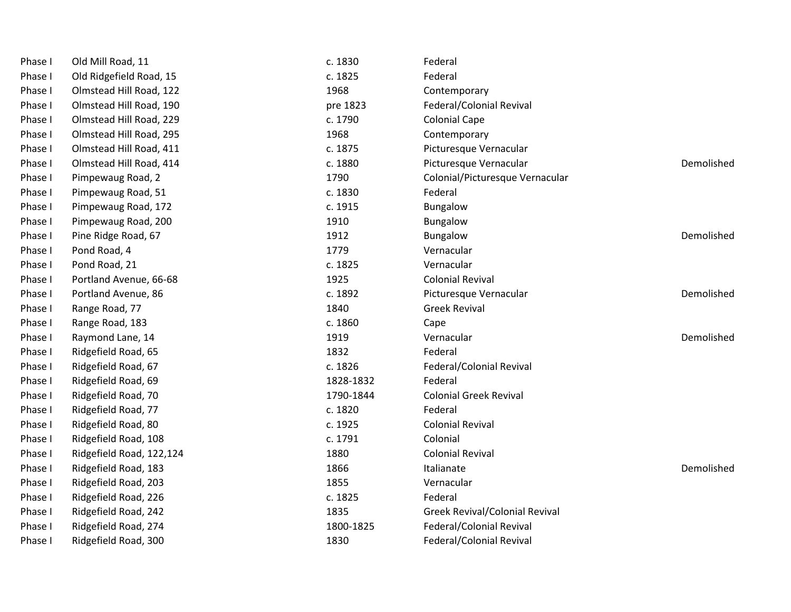| Phase I | Old Mill Road, 11        | c. 1830   | Federal                               |            |
|---------|--------------------------|-----------|---------------------------------------|------------|
| Phase I | Old Ridgefield Road, 15  | c. 1825   | Federal                               |            |
| Phase I | Olmstead Hill Road, 122  | 1968      | Contemporary                          |            |
| Phase I | Olmstead Hill Road, 190  | pre 1823  | Federal/Colonial Revival              |            |
| Phase I | Olmstead Hill Road, 229  | c. 1790   | <b>Colonial Cape</b>                  |            |
| Phase I | Olmstead Hill Road, 295  | 1968      | Contemporary                          |            |
| Phase I | Olmstead Hill Road, 411  | c. 1875   | Picturesque Vernacular                |            |
| Phase I | Olmstead Hill Road, 414  | c. 1880   | Picturesque Vernacular                | Demolished |
| Phase I | Pimpewaug Road, 2        | 1790      | Colonial/Picturesque Vernacular       |            |
| Phase I | Pimpewaug Road, 51       | c. 1830   | Federal                               |            |
| Phase I | Pimpewaug Road, 172      | c. 1915   | Bungalow                              |            |
| Phase I | Pimpewaug Road, 200      | 1910      | Bungalow                              |            |
| Phase I | Pine Ridge Road, 67      | 1912      | <b>Bungalow</b>                       | Demolished |
| Phase I | Pond Road, 4             | 1779      | Vernacular                            |            |
| Phase I | Pond Road, 21            | c. 1825   | Vernacular                            |            |
| Phase I | Portland Avenue, 66-68   | 1925      | <b>Colonial Revival</b>               |            |
| Phase I | Portland Avenue, 86      | c. 1892   | Picturesque Vernacular                | Demolished |
| Phase I | Range Road, 77           | 1840      | <b>Greek Revival</b>                  |            |
| Phase I | Range Road, 183          | c. 1860   | Cape                                  |            |
| Phase I | Raymond Lane, 14         | 1919      | Vernacular                            | Demolished |
| Phase I | Ridgefield Road, 65      | 1832      | Federal                               |            |
| Phase I | Ridgefield Road, 67      | c. 1826   | Federal/Colonial Revival              |            |
| Phase I | Ridgefield Road, 69      | 1828-1832 | Federal                               |            |
| Phase I | Ridgefield Road, 70      | 1790-1844 | <b>Colonial Greek Revival</b>         |            |
| Phase I | Ridgefield Road, 77      | c. 1820   | Federal                               |            |
| Phase I | Ridgefield Road, 80      | c. 1925   | <b>Colonial Revival</b>               |            |
| Phase I | Ridgefield Road, 108     | c. 1791   | Colonial                              |            |
| Phase I | Ridgefield Road, 122,124 | 1880      | <b>Colonial Revival</b>               |            |
| Phase I | Ridgefield Road, 183     | 1866      | Italianate                            | Demolished |
| Phase I | Ridgefield Road, 203     | 1855      | Vernacular                            |            |
| Phase I | Ridgefield Road, 226     | c. 1825   | Federal                               |            |
| Phase I | Ridgefield Road, 242     | 1835      | <b>Greek Revival/Colonial Revival</b> |            |
| Phase I | Ridgefield Road, 274     | 1800-1825 | Federal/Colonial Revival              |            |
| Phase I | Ridgefield Road, 300     | 1830      | Federal/Colonial Revival              |            |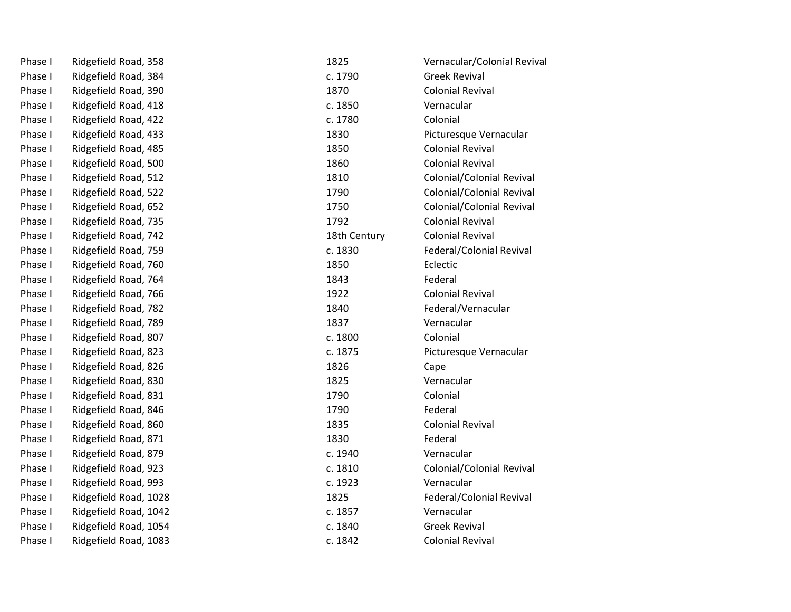| Phase I | Ridgefield Road, 358  | 1825         | Vernacular/Colonial Revival |
|---------|-----------------------|--------------|-----------------------------|
| Phase I | Ridgefield Road, 384  | c. 1790      | <b>Greek Revival</b>        |
| Phase I | Ridgefield Road, 390  | 1870         | <b>Colonial Revival</b>     |
| Phase I | Ridgefield Road, 418  | c. 1850      | Vernacular                  |
| Phase I | Ridgefield Road, 422  | c. 1780      | Colonial                    |
| Phase I | Ridgefield Road, 433  | 1830         | Picturesque Vernacular      |
| Phase I | Ridgefield Road, 485  | 1850         | <b>Colonial Revival</b>     |
| Phase I | Ridgefield Road, 500  | 1860         | <b>Colonial Revival</b>     |
| Phase I | Ridgefield Road, 512  | 1810         | Colonial/Colonial Revival   |
| Phase I | Ridgefield Road, 522  | 1790         | Colonial/Colonial Revival   |
| Phase I | Ridgefield Road, 652  | 1750         | Colonial/Colonial Revival   |
| Phase I | Ridgefield Road, 735  | 1792         | <b>Colonial Revival</b>     |
| Phase I | Ridgefield Road, 742  | 18th Century | <b>Colonial Revival</b>     |
| Phase I | Ridgefield Road, 759  | c. 1830      | Federal/Colonial Revival    |
| Phase I | Ridgefield Road, 760  | 1850         | Eclectic                    |
| Phase I | Ridgefield Road, 764  | 1843         | Federal                     |
| Phase I | Ridgefield Road, 766  | 1922         | <b>Colonial Revival</b>     |
| Phase I | Ridgefield Road, 782  | 1840         | Federal/Vernacular          |
| Phase I | Ridgefield Road, 789  | 1837         | Vernacular                  |
| Phase I | Ridgefield Road, 807  | c. 1800      | Colonial                    |
| Phase I | Ridgefield Road, 823  | c. 1875      | Picturesque Vernacular      |
| Phase I | Ridgefield Road, 826  | 1826         | Cape                        |
| Phase I | Ridgefield Road, 830  | 1825         | Vernacular                  |
| Phase I | Ridgefield Road, 831  | 1790         | Colonial                    |
| Phase I | Ridgefield Road, 846  | 1790         | Federal                     |
| Phase I | Ridgefield Road, 860  | 1835         | <b>Colonial Revival</b>     |
| Phase I | Ridgefield Road, 871  | 1830         | Federal                     |
| Phase I | Ridgefield Road, 879  | c. 1940      | Vernacular                  |
| Phase I | Ridgefield Road, 923  | c. 1810      | Colonial/Colonial Revival   |
| Phase I | Ridgefield Road, 993  | c. 1923      | Vernacular                  |
| Phase I | Ridgefield Road, 1028 | 1825         | Federal/Colonial Revival    |
| Phase I | Ridgefield Road, 1042 | c. 1857      | Vernacular                  |
| Phase I | Ridgefield Road, 1054 | c. 1840      | <b>Greek Revival</b>        |
| Phase I | Ridgefield Road, 1083 | c. 1842      | <b>Colonial Revival</b>     |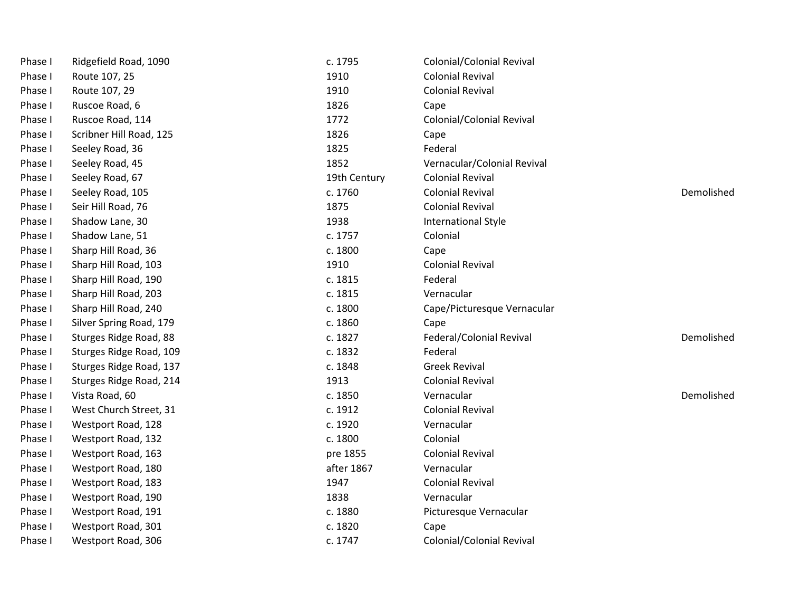| Phase I | Ridgefield Road, 1090   | c. 1795      | <b>Colonial/Colonial Revival</b> |            |
|---------|-------------------------|--------------|----------------------------------|------------|
| Phase I | Route 107, 25           | 1910         | <b>Colonial Revival</b>          |            |
| Phase I | Route 107, 29           | 1910         | <b>Colonial Revival</b>          |            |
| Phase I | Ruscoe Road, 6          | 1826         | Cape                             |            |
| Phase I | Ruscoe Road, 114        | 1772         | <b>Colonial/Colonial Revival</b> |            |
| Phase I | Scribner Hill Road, 125 | 1826         | Cape                             |            |
| Phase I | Seeley Road, 36         | 1825         | Federal                          |            |
| Phase I | Seeley Road, 45         | 1852         | Vernacular/Colonial Revival      |            |
| Phase I | Seeley Road, 67         | 19th Century | <b>Colonial Revival</b>          |            |
| Phase I | Seeley Road, 105        | c. 1760      | <b>Colonial Revival</b>          | Demolished |
| Phase I | Seir Hill Road, 76      | 1875         | <b>Colonial Revival</b>          |            |
| Phase I | Shadow Lane, 30         | 1938         | International Style              |            |
| Phase I | Shadow Lane, 51         | c. 1757      | Colonial                         |            |
| Phase I | Sharp Hill Road, 36     | c. 1800      | Cape                             |            |
| Phase I | Sharp Hill Road, 103    | 1910         | <b>Colonial Revival</b>          |            |
| Phase I | Sharp Hill Road, 190    | c. 1815      | Federal                          |            |
| Phase I | Sharp Hill Road, 203    | c. 1815      | Vernacular                       |            |
| Phase I | Sharp Hill Road, 240    | c. 1800      | Cape/Picturesque Vernacular      |            |
| Phase I | Silver Spring Road, 179 | c. 1860      | Cape                             |            |
| Phase I | Sturges Ridge Road, 88  | c. 1827      | Federal/Colonial Revival         | Demolished |
| Phase I | Sturges Ridge Road, 109 | c. 1832      | Federal                          |            |
| Phase I | Sturges Ridge Road, 137 | c. 1848      | <b>Greek Revival</b>             |            |
| Phase I | Sturges Ridge Road, 214 | 1913         | <b>Colonial Revival</b>          |            |
| Phase I | Vista Road, 60          | c. 1850      | Vernacular                       | Demolished |
| Phase I | West Church Street, 31  | c. 1912      | <b>Colonial Revival</b>          |            |
| Phase I | Westport Road, 128      | c. 1920      | Vernacular                       |            |
| Phase I | Westport Road, 132      | c. 1800      | Colonial                         |            |
| Phase I | Westport Road, 163      | pre 1855     | <b>Colonial Revival</b>          |            |
| Phase I | Westport Road, 180      | after 1867   | Vernacular                       |            |
| Phase I | Westport Road, 183      | 1947         | <b>Colonial Revival</b>          |            |
| Phase I | Westport Road, 190      | 1838         | Vernacular                       |            |
| Phase I | Westport Road, 191      | c. 1880      | Picturesque Vernacular           |            |
| Phase I | Westport Road, 301      | c. 1820      | Cape                             |            |
| Phase I | Westport Road, 306      | c. 1747      | Colonial/Colonial Revival        |            |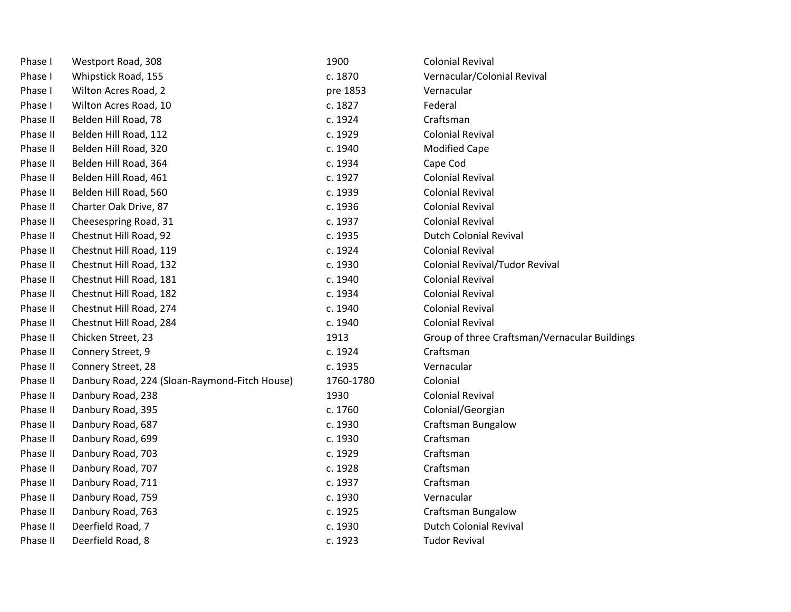| Phase I  | Westport Road, 308                            | 1900      | <b>Colonial Revival</b>                       |
|----------|-----------------------------------------------|-----------|-----------------------------------------------|
| Phase I  | Whipstick Road, 155                           | c. 1870   | Vernacular/Colonial Revival                   |
| Phase I  | Wilton Acres Road, 2                          | pre 1853  | Vernacular                                    |
| Phase I  | Wilton Acres Road, 10                         | c. 1827   | Federal                                       |
| Phase II | Belden Hill Road, 78                          | c. 1924   | Craftsman                                     |
| Phase II | Belden Hill Road, 112                         | c. 1929   | <b>Colonial Revival</b>                       |
| Phase II | Belden Hill Road, 320                         | c. 1940   | <b>Modified Cape</b>                          |
| Phase II | Belden Hill Road, 364                         | c. 1934   | Cape Cod                                      |
| Phase II | Belden Hill Road, 461                         | c. 1927   | <b>Colonial Revival</b>                       |
| Phase II | Belden Hill Road, 560                         | c. 1939   | <b>Colonial Revival</b>                       |
| Phase II | Charter Oak Drive, 87                         | c. 1936   | <b>Colonial Revival</b>                       |
| Phase II | Cheesespring Road, 31                         | c. 1937   | <b>Colonial Revival</b>                       |
| Phase II | Chestnut Hill Road, 92                        | c. 1935   | <b>Dutch Colonial Revival</b>                 |
| Phase II | Chestnut Hill Road, 119                       | c. 1924   | <b>Colonial Revival</b>                       |
| Phase II | Chestnut Hill Road, 132                       | c. 1930   | Colonial Revival/Tudor Revival                |
| Phase II | Chestnut Hill Road, 181                       | c. 1940   | <b>Colonial Revival</b>                       |
| Phase II | Chestnut Hill Road, 182                       | c. 1934   | <b>Colonial Revival</b>                       |
| Phase II | Chestnut Hill Road, 274                       | c. 1940   | <b>Colonial Revival</b>                       |
| Phase II | Chestnut Hill Road, 284                       | c. 1940   | <b>Colonial Revival</b>                       |
| Phase II | Chicken Street, 23                            | 1913      | Group of three Craftsman/Vernacular Buildings |
| Phase II | Connery Street, 9                             | c. 1924   | Craftsman                                     |
| Phase II | Connery Street, 28                            | c. 1935   | Vernacular                                    |
| Phase II | Danbury Road, 224 (Sloan-Raymond-Fitch House) | 1760-1780 | Colonial                                      |
| Phase II | Danbury Road, 238                             | 1930      | <b>Colonial Revival</b>                       |
| Phase II | Danbury Road, 395                             | c. 1760   | Colonial/Georgian                             |
| Phase II | Danbury Road, 687                             | c. 1930   | <b>Craftsman Bungalow</b>                     |
| Phase II | Danbury Road, 699                             | c. 1930   | Craftsman                                     |
| Phase II | Danbury Road, 703                             | c. 1929   | Craftsman                                     |
| Phase II | Danbury Road, 707                             | c. 1928   | Craftsman                                     |
| Phase II | Danbury Road, 711                             | c. 1937   | Craftsman                                     |
| Phase II | Danbury Road, 759                             | c. 1930   | Vernacular                                    |
| Phase II | Danbury Road, 763                             | c. 1925   | <b>Craftsman Bungalow</b>                     |
| Phase II | Deerfield Road, 7                             | c. 1930   | <b>Dutch Colonial Revival</b>                 |
| Phase II | Deerfield Road, 8                             | c. 1923   | <b>Tudor Revival</b>                          |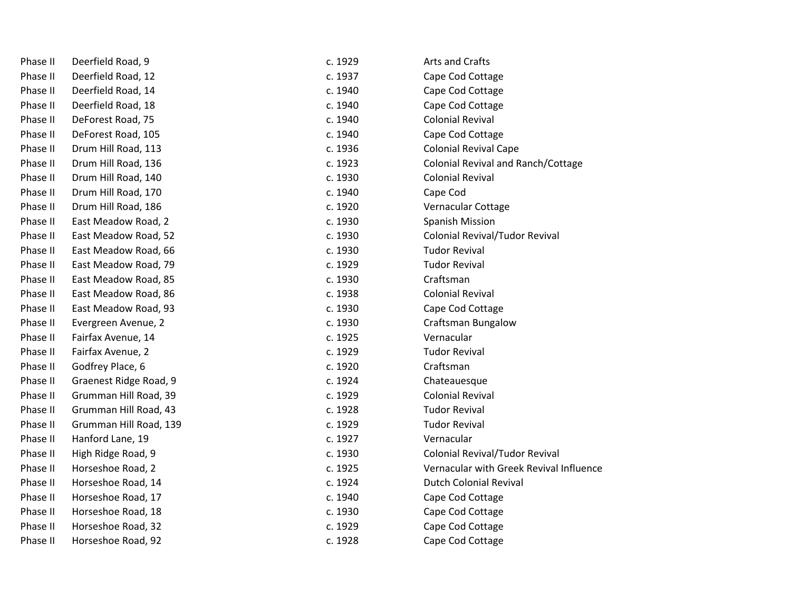| Phase II | Deerfield Road, 9      | c. 1929 | Arts and Crafts                           |
|----------|------------------------|---------|-------------------------------------------|
| Phase II | Deerfield Road, 12     | c. 1937 | Cape Cod Cottage                          |
| Phase II | Deerfield Road, 14     | c. 1940 | Cape Cod Cottage                          |
| Phase II | Deerfield Road, 18     | c. 1940 | Cape Cod Cottage                          |
| Phase II | DeForest Road, 75      | c. 1940 | <b>Colonial Revival</b>                   |
| Phase II | DeForest Road, 105     | c. 1940 | Cape Cod Cottage                          |
| Phase II | Drum Hill Road, 113    | c. 1936 | <b>Colonial Revival Cape</b>              |
| Phase II | Drum Hill Road, 136    | c. 1923 | <b>Colonial Revival and Ranch/Cottage</b> |
| Phase II | Drum Hill Road, 140    | c. 1930 | <b>Colonial Revival</b>                   |
| Phase II | Drum Hill Road, 170    | c. 1940 | Cape Cod                                  |
| Phase II | Drum Hill Road, 186    | c. 1920 | Vernacular Cottage                        |
| Phase II | East Meadow Road, 2    | c. 1930 | <b>Spanish Mission</b>                    |
| Phase II | East Meadow Road, 52   | c. 1930 | <b>Colonial Revival/Tudor Revival</b>     |
| Phase II | East Meadow Road, 66   | c. 1930 | <b>Tudor Revival</b>                      |
| Phase II | East Meadow Road, 79   | c. 1929 | <b>Tudor Revival</b>                      |
| Phase II | East Meadow Road, 85   | c. 1930 | Craftsman                                 |
| Phase II | East Meadow Road, 86   | c. 1938 | <b>Colonial Revival</b>                   |
| Phase II | East Meadow Road, 93   | c. 1930 | Cape Cod Cottage                          |
| Phase II | Evergreen Avenue, 2    | c. 1930 | <b>Craftsman Bungalow</b>                 |
| Phase II | Fairfax Avenue, 14     | c. 1925 | Vernacular                                |
| Phase II | Fairfax Avenue, 2      | c. 1929 | <b>Tudor Revival</b>                      |
| Phase II | Godfrey Place, 6       | c. 1920 | Craftsman                                 |
| Phase II | Graenest Ridge Road, 9 | c. 1924 | Chateauesque                              |
| Phase II | Grumman Hill Road, 39  | c. 1929 | <b>Colonial Revival</b>                   |
| Phase II | Grumman Hill Road, 43  | c. 1928 | <b>Tudor Revival</b>                      |
| Phase II | Grumman Hill Road, 139 | c. 1929 | <b>Tudor Revival</b>                      |
| Phase II | Hanford Lane, 19       | c. 1927 | Vernacular                                |
| Phase II | High Ridge Road, 9     | c. 1930 | Colonial Revival/Tudor Revival            |
| Phase II | Horseshoe Road, 2      | c. 1925 | Vernacular with Greek Revival Influence   |
| Phase II | Horseshoe Road, 14     | c. 1924 | <b>Dutch Colonial Revival</b>             |
| Phase II | Horseshoe Road, 17     | c. 1940 | Cape Cod Cottage                          |
| Phase II | Horseshoe Road, 18     | c. 1930 | Cape Cod Cottage                          |
| Phase II | Horseshoe Road, 32     | c. 1929 | Cape Cod Cottage                          |
| Phase II | Horseshoe Road, 92     | c. 1928 | Cape Cod Cottage                          |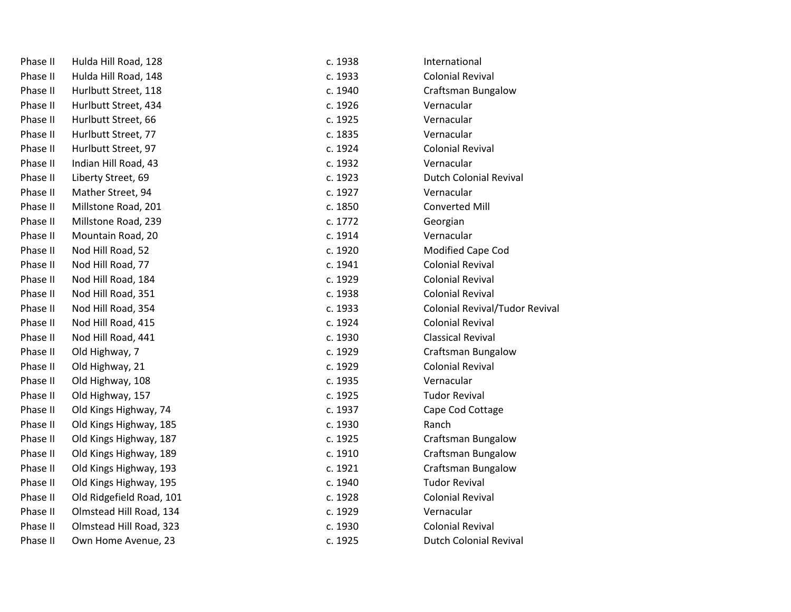| Phase II | Hulda Hill Road, 128     | c. 1938 | International                         |
|----------|--------------------------|---------|---------------------------------------|
| Phase II | Hulda Hill Road, 148     | c. 1933 | <b>Colonial Revival</b>               |
| Phase II | Hurlbutt Street, 118     | c. 1940 | <b>Craftsman Bungalow</b>             |
| Phase II | Hurlbutt Street, 434     | c. 1926 | Vernacular                            |
| Phase II | Hurlbutt Street, 66      | c. 1925 | Vernacular                            |
| Phase II | Hurlbutt Street, 77      | c. 1835 | Vernacular                            |
| Phase II | Hurlbutt Street, 97      | c. 1924 | <b>Colonial Revival</b>               |
| Phase II | Indian Hill Road, 43     | c. 1932 | Vernacular                            |
| Phase II | Liberty Street, 69       | c. 1923 | <b>Dutch Colonial Revival</b>         |
| Phase II | Mather Street, 94        | c. 1927 | Vernacular                            |
| Phase II | Millstone Road, 201      | c. 1850 | <b>Converted Mill</b>                 |
| Phase II | Millstone Road, 239      | c. 1772 | Georgian                              |
| Phase II | Mountain Road, 20        | c. 1914 | Vernacular                            |
| Phase II | Nod Hill Road, 52        | c. 1920 | Modified Cape Cod                     |
| Phase II | Nod Hill Road, 77        | c. 1941 | <b>Colonial Revival</b>               |
| Phase II | Nod Hill Road, 184       | c. 1929 | <b>Colonial Revival</b>               |
| Phase II | Nod Hill Road, 351       | c. 1938 | <b>Colonial Revival</b>               |
| Phase II | Nod Hill Road, 354       | c. 1933 | <b>Colonial Revival/Tudor Revival</b> |
| Phase II | Nod Hill Road, 415       | c. 1924 | <b>Colonial Revival</b>               |
| Phase II | Nod Hill Road, 441       | c. 1930 | <b>Classical Revival</b>              |
| Phase II | Old Highway, 7           | c. 1929 | <b>Craftsman Bungalow</b>             |
| Phase II | Old Highway, 21          | c. 1929 | <b>Colonial Revival</b>               |
| Phase II | Old Highway, 108         | c. 1935 | Vernacular                            |
| Phase II | Old Highway, 157         | c. 1925 | <b>Tudor Revival</b>                  |
| Phase II | Old Kings Highway, 74    | c. 1937 | Cape Cod Cottage                      |
| Phase II | Old Kings Highway, 185   | c. 1930 | Ranch                                 |
| Phase II | Old Kings Highway, 187   | c. 1925 | Craftsman Bungalow                    |
| Phase II | Old Kings Highway, 189   | c. 1910 | Craftsman Bungalow                    |
| Phase II | Old Kings Highway, 193   | c. 1921 | <b>Craftsman Bungalow</b>             |
| Phase II | Old Kings Highway, 195   | c. 1940 | <b>Tudor Revival</b>                  |
| Phase II | Old Ridgefield Road, 101 | c. 1928 | <b>Colonial Revival</b>               |
| Phase II | Olmstead Hill Road, 134  | c. 1929 | Vernacular                            |
| Phase II | Olmstead Hill Road, 323  | c. 1930 | <b>Colonial Revival</b>               |
| Phase II | Own Home Avenue, 23      | c. 1925 | <b>Dutch Colonial Revival</b>         |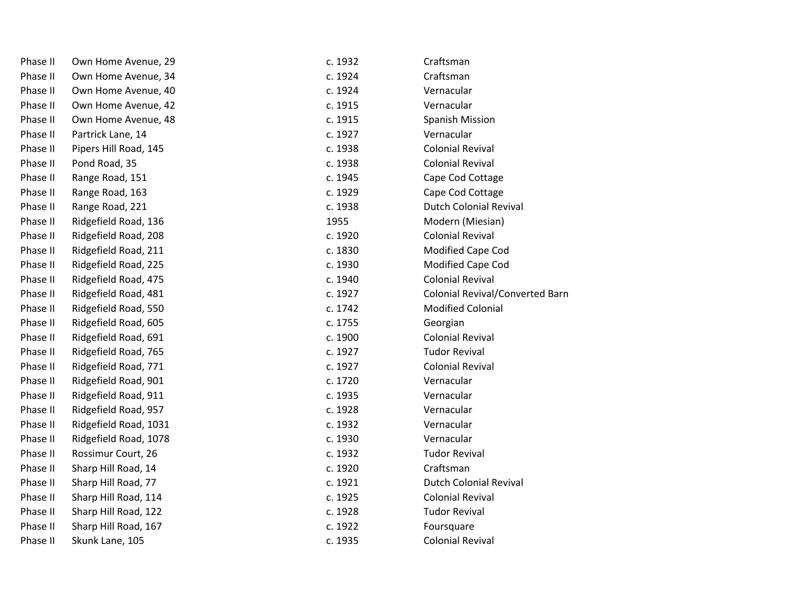| Phase II | Own Home Avenue, 29   | c. 1932 | Craftsman                              |
|----------|-----------------------|---------|----------------------------------------|
| Phase II | Own Home Avenue, 34   | c. 1924 | Craftsman                              |
| Phase II | Own Home Avenue, 40   | c. 1924 | Vernacular                             |
| Phase II | Own Home Avenue, 42   | c. 1915 | Vernacular                             |
| Phase II | Own Home Avenue, 48   | c. 1915 | Spanish Mission                        |
| Phase II | Partrick Lane, 14     | c. 1927 | Vernacular                             |
| Phase II | Pipers Hill Road, 145 | c. 1938 | <b>Colonial Revival</b>                |
| Phase II | Pond Road, 35         | c. 1938 | <b>Colonial Revival</b>                |
| Phase II | Range Road, 151       | c. 1945 | Cape Cod Cottage                       |
| Phase II | Range Road, 163       | c. 1929 | Cape Cod Cottage                       |
| Phase II | Range Road, 221       | c. 1938 | <b>Dutch Colonial Revival</b>          |
| Phase II | Ridgefield Road, 136  | 1955    | Modern (Miesian)                       |
| Phase II | Ridgefield Road, 208  | c. 1920 | <b>Colonial Revival</b>                |
| Phase II | Ridgefield Road, 211  | c. 1830 | Modified Cape Cod                      |
| Phase II | Ridgefield Road, 225  | c. 1930 | Modified Cape Cod                      |
| Phase II | Ridgefield Road, 475  | c. 1940 | <b>Colonial Revival</b>                |
| Phase II | Ridgefield Road, 481  | c. 1927 | <b>Colonial Revival/Converted Barn</b> |
| Phase II | Ridgefield Road, 550  | c. 1742 | <b>Modified Colonial</b>               |
| Phase II | Ridgefield Road, 605  | c. 1755 | Georgian                               |
| Phase II | Ridgefield Road, 691  | c. 1900 | <b>Colonial Revival</b>                |
| Phase II | Ridgefield Road, 765  | c. 1927 | <b>Tudor Revival</b>                   |
| Phase II | Ridgefield Road, 771  | c. 1927 | <b>Colonial Revival</b>                |
| Phase II | Ridgefield Road, 901  | c. 1720 | Vernacular                             |
| Phase II | Ridgefield Road, 911  | c. 1935 | Vernacular                             |
| Phase II | Ridgefield Road, 957  | c. 1928 | Vernacular                             |
| Phase II | Ridgefield Road, 1031 | c. 1932 | Vernacular                             |
| Phase II | Ridgefield Road, 1078 | c. 1930 | Vernacular                             |
| Phase II | Rossimur Court, 26    | c. 1932 | <b>Tudor Revival</b>                   |
| Phase II | Sharp Hill Road, 14   | c. 1920 | Craftsman                              |
| Phase II | Sharp Hill Road, 77   | c. 1921 | <b>Dutch Colonial Revival</b>          |
| Phase II | Sharp Hill Road, 114  | c. 1925 | <b>Colonial Revival</b>                |
| Phase II | Sharp Hill Road, 122  | c. 1928 | <b>Tudor Revival</b>                   |
| Phase II | Sharp Hill Road, 167  | c. 1922 | Foursquare                             |
| Phase II | Skunk Lane, 105       | c. 1935 | <b>Colonial Revival</b>                |